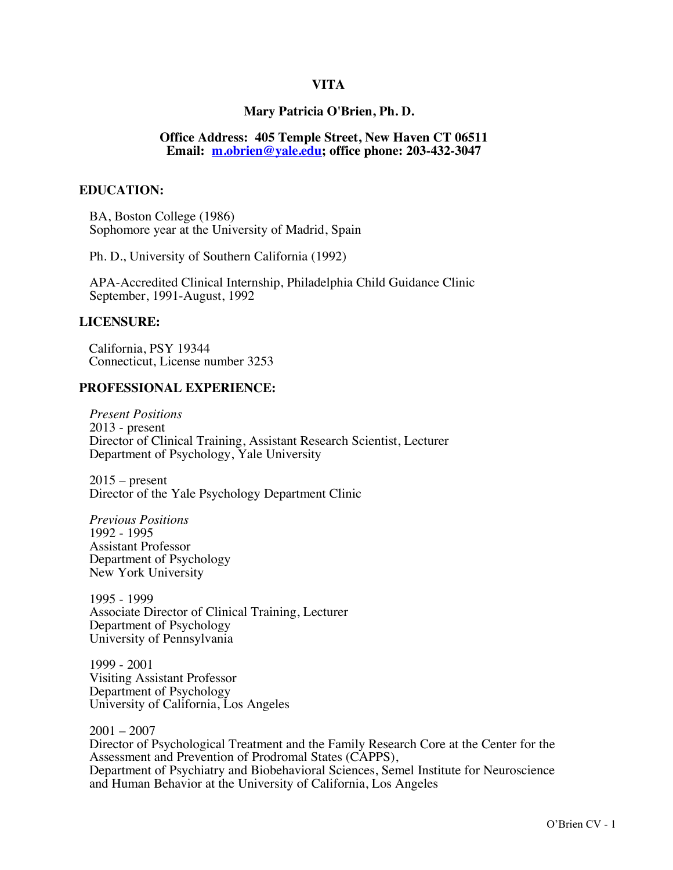## **VITA**

### **Mary Patricia O'Brien, Ph. D.**

### **Office Address: 405 Temple Street, New Haven CT 06511 Email: m.obrien@yale.edu; office phone: 203-432-3047**

### **EDUCATION:**

BA, Boston College (1986) Sophomore year at the University of Madrid, Spain

Ph. D., University of Southern California (1992)

APA-Accredited Clinical Internship, Philadelphia Child Guidance Clinic September, 1991-August, 1992

### **LICENSURE:**

California, PSY 19344 Connecticut, License number 3253

#### **PROFESSIONAL EXPERIENCE:**

*Present Positions* 2013 - present Director of Clinical Training, Assistant Research Scientist, Lecturer Department of Psychology, Yale University

 $2015$  – present Director of the Yale Psychology Department Clinic

*Previous Positions* 1992 - 1995 Assistant Professor Department of Psychology New York University

1995 - 1999 Associate Director of Clinical Training, Lecturer Department of Psychology University of Pennsylvania

1999 - 2001 Visiting Assistant Professor Department of Psychology University of California, Los Angeles

2001 – 2007 Director of Psychological Treatment and the Family Research Core at the Center for the Assessment and Prevention of Prodromal States (CAPPS), Department of Psychiatry and Biobehavioral Sciences, Semel Institute for Neuroscience and Human Behavior at the University of California, Los Angeles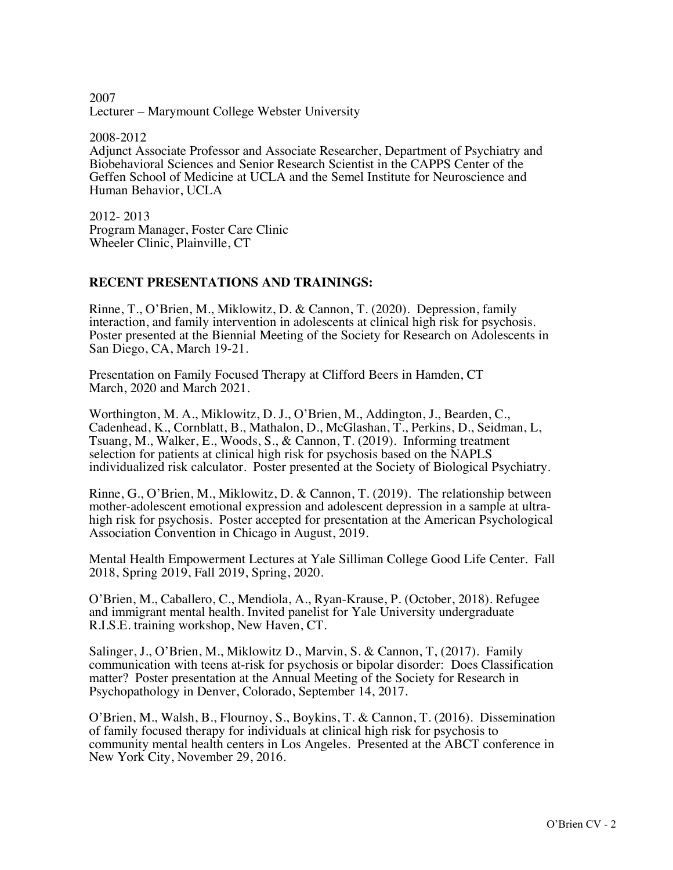2007 Lecturer – Marymount College Webster University

2008-2012 Adjunct Associate Professor and Associate Researcher, Department of Psychiatry and Biobehavioral Sciences and Senior Research Scientist in the CAPPS Center of the Geffen School of Medicine at UCLA and the Semel Institute for Neuroscience and Human Behavior, UCLA

2012- 2013 Program Manager, Foster Care Clinic Wheeler Clinic, Plainville, CT

## **RECENT PRESENTATIONS AND TRAININGS:**

Rinne, T., O'Brien, M., Miklowitz, D. & Cannon, T. (2020). Depression, family interaction, and family intervention in adolescents at clinical high risk for psychosis. Poster presented at the Biennial Meeting of the Society for Research on Adolescents in San Diego, CA, March 19-21.

Presentation on Family Focused Therapy at Clifford Beers in Hamden, CT March, 2020 and March 2021.

Worthington, M. A., Miklowitz, D. J., O'Brien, M., Addington, J., Bearden, C., Cadenhead, K., Cornblatt, B., Mathalon, D., McGlashan, T., Perkins, D., Seidman, L, Tsuang, M., Walker, E., Woods, S., & Cannon, T. (2019). Informing treatment selection for patients at clinical high risk for psychosis based on the NAPLS individualized risk calculator. Poster presented at the Society of Biological Psychiatry.

Rinne, G., O'Brien, M., Miklowitz, D. & Cannon, T. (2019). The relationship between mother-adolescent emotional expression and adolescent depression in a sample at ultrahigh risk for psychosis. Poster accepted for presentation at the American Psychological Association Convention in Chicago in August, 2019.

Mental Health Empowerment Lectures at Yale Silliman College Good Life Center. Fall 2018, Spring 2019, Fall 2019, Spring, 2020.

O'Brien, M., Caballero, C., Mendiola, A., Ryan-Krause, P. (October, 2018). Refugee and immigrant mental health. Invited panelist for Yale University undergraduate R.I.S.E. training workshop, New Haven, CT.

Salinger, J., O'Brien, M., Miklowitz D., Marvin, S. & Cannon, T, (2017). Family communication with teens at-risk for psychosis or bipolar disorder: Does Classification matter? Poster presentation at the Annual Meeting of the Society for Research in Psychopathology in Denver, Colorado, September 14, 2017.

O'Brien, M., Walsh, B., Flournoy, S., Boykins, T. & Cannon, T. (2016). Dissemination of family focused therapy for individuals at clinical high risk for psychosis to community mental health centers in Los Angeles. Presented at the ABCT conference in New York City, November 29, 2016.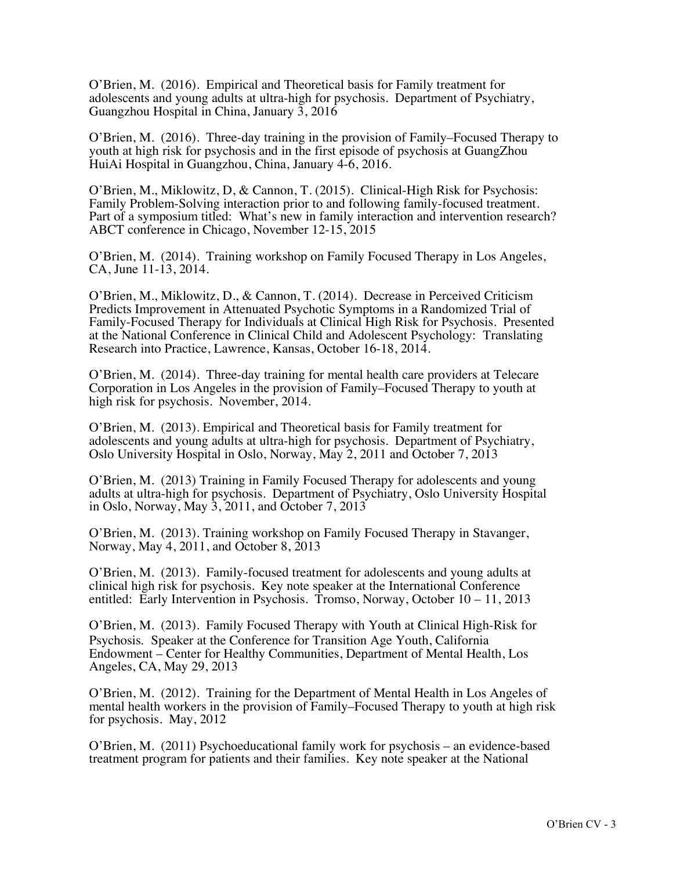O'Brien, M. (2016). Empirical and Theoretical basis for Family treatment for adolescents and young adults at ultra-high for psychosis. Department of Psychiatry, Guangzhou Hospital in China, January 3, 2016

O'Brien, M. (2016). Three-day training in the provision of Family–Focused Therapy to youth at high risk for psychosis and in the first episode of psychosis at GuangZhou HuiAi Hospital in Guangzhou, China, January 4-6, 2016.

O'Brien, M., Miklowitz, D, & Cannon, T. (2015). Clinical-High Risk for Psychosis: Family Problem-Solving interaction prior to and following family-focused treatment. Part of a symposium titled: What's new in family interaction and intervention research? ABCT conference in Chicago, November 12-15, 2015

O'Brien, M.(2014).Training workshop on Family Focused Therapy in Los Angeles, CA, June 11-13, 2014.

O'Brien, M., Miklowitz, D., & Cannon, T. (2014). Decrease in Perceived Criticism Predicts Improvement in Attenuated Psychotic Symptoms in a Randomized Trial of Family-Focused Therapy for Individuals at Clinical High Risk for Psychosis. Presented at the National Conference in Clinical Child and Adolescent Psychology: Translating Research into Practice, Lawrence, Kansas, October 16-18, 2014.

O'Brien, M. (2014). Three-day training for mental health care providers at Telecare Corporation in Los Angeles in the provision of Family–Focused Therapy to youth at high risk for psychosis. November, 2014.

O'Brien, M. (2013). Empirical and Theoretical basis for Family treatment for adolescents and young adults at ultra-high for psychosis. Department of Psychiatry, Oslo University Hospital in Oslo, Norway, May 2, 2011 and October 7, 2013

O'Brien, M. (2013) Training in Family Focused Therapy for adolescents and young adults at ultra-high for psychosis. Department of Psychiatry, Oslo University Hospital in Oslo, Norway, May 3, 2011, and October 7, 2013

O'Brien, M.(2013). Training workshop on Family Focused Therapy in Stavanger, Norway, May 4, 2011, and October 8, 2013

O'Brien, M. (2013). Family-focused treatment for adolescents and young adults at clinical high risk for psychosis. Key note speaker at the International Conference entitled: Early Intervention in Psychosis. Tromso, Norway, October 10 – 11, 2013

O'Brien, M. (2013). Family Focused Therapy with Youth at Clinical High-Risk for Psychosis. Speaker at the Conference for Transition Age Youth, California Endowment – Center for Healthy Communities, Department of Mental Health, Los Angeles, CA, May 29, 2013

O'Brien, M. (2012). Training for the Department of Mental Health in Los Angeles of mental health workers in the provision of Family–Focused Therapy to youth at high risk for psychosis. May, 2012

O'Brien, M.(2011) Psychoeducational family work for psychosis – an evidence-based treatment program for patients and their families. Key note speaker at the National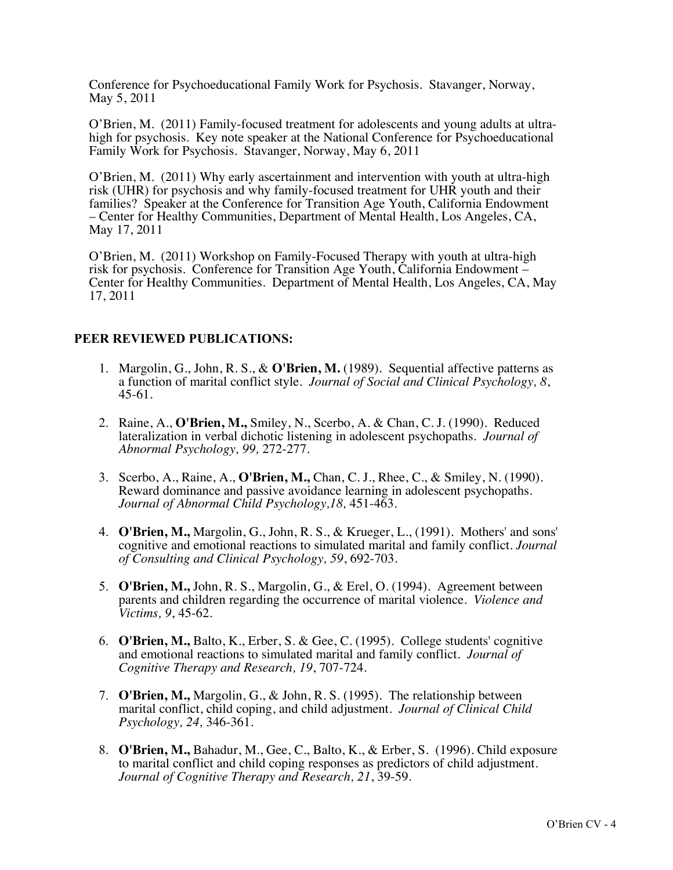Conference for Psychoeducational Family Work for Psychosis. Stavanger, Norway, May 5, 2011

O'Brien, M. (2011) Family-focused treatment for adolescents and young adults at ultrahigh for psychosis. Key note speaker at the National Conference for Psychoeducational Family Work for Psychosis. Stavanger, Norway, May 6, 2011

O'Brien, M. (2011) Why early ascertainment and intervention with youth at ultra-high risk (UHR) for psychosis and why family-focused treatment for UHR youth and their families? Speaker at the Conference for Transition Age Youth, California Endowment – Center for Healthy Communities, Department of Mental Health, Los Angeles, CA, May 17, 2011

O'Brien, M. (2011) Workshop on Family-Focused Therapy with youth at ultra-high risk for psychosis. Conference for Transition Age Youth, California Endowment – Center for Healthy Communities. Department of Mental Health, Los Angeles, CA, May 17, 2011

# **PEER REVIEWED PUBLICATIONS:**

- 1. Margolin, G., John, R. S., & **O'Brien, M.** (1989). Sequential affective patterns as a function of marital conflict style. *Journal of Social and Clinical Psychology, 8*, 45-61.
- 2. Raine, A., **O'Brien, M.,** Smiley, N., Scerbo, A. & Chan, C. J. (1990). Reduced lateralization in verbal dichotic listening in adolescent psychopaths*. Journal of Abnormal Psychology, 99,* 272-277.
- 3. Scerbo, A., Raine, A., **O'Brien, M.,** Chan, C. J., Rhee, C., & Smiley, N. (1990). Reward dominance and passive avoidance learning in adolescent psychopaths. *Journal of Abnormal Child Psychology,18,* 451-463.
- 4. **O'Brien, M.,** Margolin, G., John, R. S., & Krueger, L., (1991). Mothers' and sons' cognitive and emotional reactions to simulated marital and family conflict. *Journal of Consulting and Clinical Psychology, 59*, 692-703.
- 5. **O'Brien, M.,** John, R. S., Margolin, G., & Erel, O. (1994). Agreement between parents and children regarding the occurrence of marital violence. *Violence and Victims, 9*, 45-62.
- 6. **O'Brien, M.,** Balto, K., Erber, S. & Gee, C. (1995). College students' cognitive and emotional reactions to simulated marital and family conflict. *Journal of Cognitive Therapy and Research, 19*, 707-724.
- 7. **O'Brien, M.,** Margolin, G., & John, R. S. (1995). The relationship between marital conflict, child coping, and child adjustment. *Journal of Clinical Child Psychology, 24,* 346-361.
- 8. **O'Brien, M.,** Bahadur, M., Gee, C., Balto, K., & Erber, S. (1996). Child exposure to marital conflict and child coping responses as predictors of child adjustment. *Journal of Cognitive Therapy and Research, 21*, 39-59.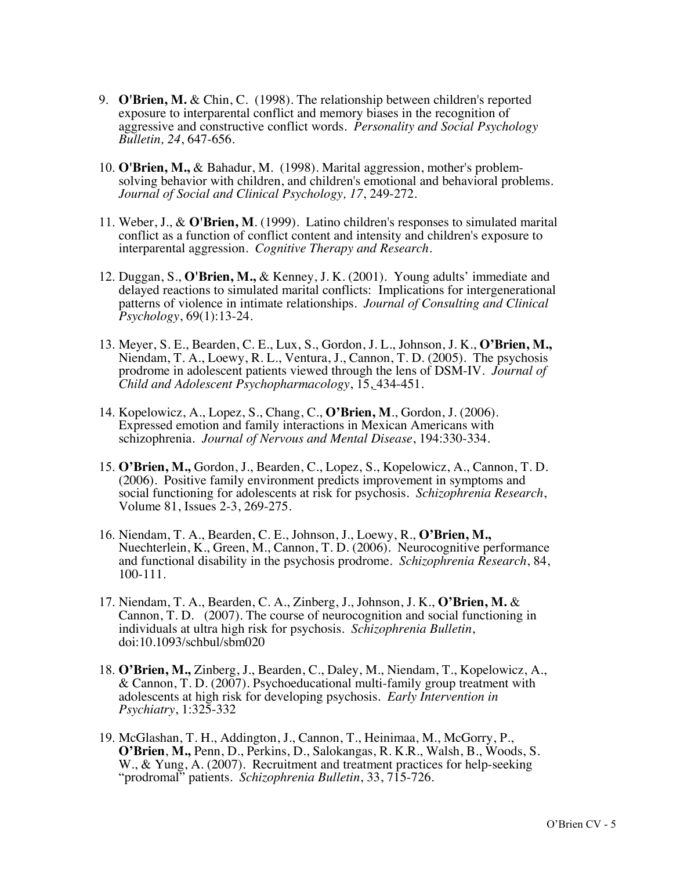- 9. **O'Brien, M.** & Chin, C. (1998). The relationship between children's reported exposure to interparental conflict and memory biases in the recognition of aggressive and constructive conflict words. *Personality and Social Psychology Bulletin, 24*, 647-656.
- 10. **O'Brien, M.,** & Bahadur, M. (1998). Marital aggression, mother's problemsolving behavior with children, and children's emotional and behavioral problems. *Journal of Social and Clinical Psychology, 17*, 249-272.
- 11. Weber, J., & **O'Brien, M**. (1999). Latino children's responses to simulated marital conflict as a function of conflict content and intensity and children's exposure to interparental aggression. *Cognitive Therapy and Research*.
- 12. Duggan, S., **O'Brien, M.,** & Kenney, J. K. (2001). Young adults' immediate and delayed reactions to simulated marital conflicts: Implications for intergenerational patterns of violence in intimate relationships. *Journal of Consulting and Clinical Psychology*, 69(1):13-24.
- 13. Meyer, S. E., Bearden, C. E., Lux, S., Gordon, J. L., Johnson, J. K., **O'Brien, M.,** Niendam, T. A., Loewy, R. L., Ventura, J., Cannon, T. D. (2005). The psychosis prodrome in adolescent patients viewed through the lens of DSM-IV*. Journal of Child and Adolescent Psychopharmacology*, 15, 434-451.
- 14. Kopelowicz, A., Lopez, S., Chang, C., **O'Brien, M**., Gordon, J. (2006). Expressed emotion and family interactions in Mexican Americans with schizophrenia*. Journal of Nervous and Mental Disease*, 194:330-334.
- 15. **O'Brien, M.,** Gordon, J., Bearden, C., Lopez, S., Kopelowicz, A., Cannon, T. D. (2006). Positive family environment predicts improvement in symptoms and social functioning for adolescents at risk for psychosis. *Schizophrenia Research*, Volume 81, Issues 2-3, 269-275.
- 16. Niendam, T. A., Bearden, C. E., Johnson, J., Loewy, R., **O'Brien, M.,** Nuechterlein, K., Green, M., Cannon, T. D. (2006). Neurocognitive performance and functional disability in the psychosis prodrome. *Schizophrenia Research*, 84, 100-111.
- 17. Niendam, T. A., Bearden, C. A., Zinberg, J., Johnson, J. K., **O'Brien, M.** & Cannon, T. D. (2007). The course of neurocognition and social functioning in individuals at ultra high risk for psychosis. *Schizophrenia Bulletin*, doi:10.1093/schbul/sbm020
- 18. **O'Brien, M.,** Zinberg, J., Bearden, C., Daley, M., Niendam, T., Kopelowicz, A., & Cannon, T. D. (2007). Psychoeducational multi-family group treatment with adolescents at high risk for developing psychosis. *Early Intervention in Psychiatry*, 1:325-332
- 19. McGlashan, T. H., Addington, J., Cannon, T., Heinimaa, M., McGorry, P., **O'Brien**, **M.,** Penn, D., Perkins, D., Salokangas, R. K.R., Walsh, B., Woods, S. W., & Yung, A. (2007). Recruitment and treatment practices for help-seeking "prodromal" patients. *Schizophrenia Bulletin*, 33, 715-726.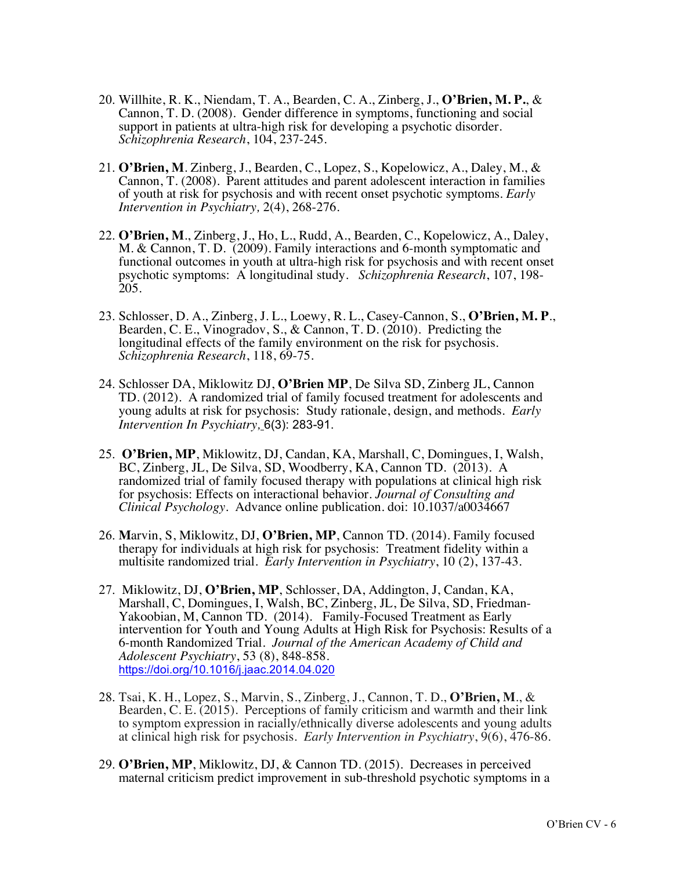- 20. Willhite, R. K., Niendam, T. A., Bearden, C. A., Zinberg, J., **O'Brien, M. P.**, & Cannon, T. D. (2008). Gender difference in symptoms, functioning and social support in patients at ultra-high risk for developing a psychotic disorder. *Schizophrenia Research*, 104, 237-245.
- 21. **O'Brien, M**. Zinberg, J., Bearden, C., Lopez, S., Kopelowicz, A., Daley, M., & Cannon, T. (2008). Parent attitudes and parent adolescent interaction in families of youth at risk for psychosis and with recent onset psychotic symptoms. *Early Intervention in Psychiatry,* 2(4), 268-276.
- 22. **O'Brien, M**., Zinberg, J., Ho, L., Rudd, A., Bearden, C., Kopelowicz, A., Daley, M. & Cannon, T. D. (2009). Family interactions and 6-month symptomatic and functional outcomes in youth at ultra-high risk for psychosis and with recent onset psychotic symptoms: A longitudinal study. *Schizophrenia Research*, 107, 198- 205.
- 23. Schlosser, D. A., Zinberg, J. L., Loewy, R. L., Casey-Cannon, S., **O'Brien, M. P**., Bearden, C. E., Vinogradov, S., & Cannon, T. D. (2010). Predicting the longitudinal effects of the family environment on the risk for psychosis. *Schizophrenia Research*, 118, 69-75.
- 24. Schlosser DA, Miklowitz DJ, **O'Brien MP**, De Silva SD, Zinberg JL, Cannon TD. (2012). A randomized trial of family focused treatment for adolescents and young adults at risk for psychosis: Study rationale, design, and methods. *Early Intervention In Psychiatry,* 6(3): 283-91.
- 25. **O'Brien, MP**, Miklowitz, DJ, Candan, KA, Marshall, C, Domingues, I, Walsh, BC, Zinberg, JL, De Silva, SD, Woodberry, KA, Cannon TD. (2013). A randomized trial of family focused therapy with populations at clinical high risk for psychosis: Effects on interactional behavior. *Journal of Consulting and Clinical Psychology*. Advance online publication. doi: 10.1037/a0034667
- 26. **M**arvin, S, Miklowitz, DJ, **O'Brien, MP**, Cannon TD. (2014). Family focused therapy for individuals at high risk for psychosis: Treatment fidelity within a multisite randomized trial. *Early Intervention in Psychiatry*, 10 (2), 137-43.
- 27. Miklowitz, DJ, **O'Brien, MP**, Schlosser, DA, Addington, J, Candan, KA, Marshall, C, Domingues, I, Walsh, BC, Zinberg, JL, De Silva, SD, Friedman-Yakoobian, M, Cannon TD. (2014). Family-Focused Treatment as Early intervention for Youth and Young Adults at High Risk for Psychosis: Results of a 6-month Randomized Trial. *Journal of the American Academy of Child and Adolescent Psychiatry*, 53 (8), 848-858. https://doi.org/10.1016/j.jaac.2014.04.020
- 28. Tsai, K. H., Lopez, S., Marvin, S., Zinberg, J., Cannon, T. D., **O'Brien, M**., & Bearden, C. E. (2015). Perceptions of family criticism and warmth and their link to symptom expression in racially/ethnically diverse adolescents and young adults at clinical high risk for psychosis. *Early Intervention in Psychiatry*, 9(6), 476-86.
- 29. **O'Brien, MP**, Miklowitz, DJ, & Cannon TD. (2015). Decreases in perceived maternal criticism predict improvement in sub-threshold psychotic symptoms in a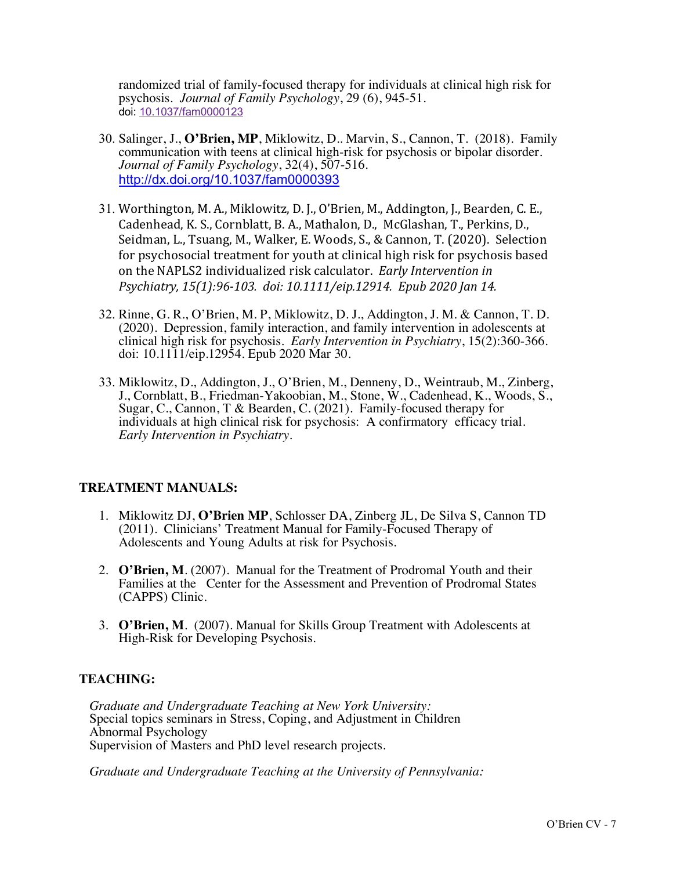randomized trial of family-focused therapy for individuals at clinical high risk for psychosis*. Journal of Family Psychology*, 29 (6), 945-51. doi: 10.1037/fam0000123

- 30. Salinger, J., **O'Brien, MP**, Miklowitz, D.. Marvin, S., Cannon, T. (2018). Family communication with teens at clinical high-risk for psychosis or bipolar disorder. *Journal of Family Psychology*, 32(4), 507-516. http://dx.doi.org/10.1037/fam0000393
- 31. Worthington, M. A., Miklowitz, D. J., O'Brien, M., Addington, J., Bearden, C. E., Cadenhead, K. S., Cornblatt, B. A., Mathalon, D., McGlashan, T., Perkins, D., Seidman, L., Tsuang, M., Walker, E. Woods, S., & Cannon, T. (2020). Selection for psychosocial treatment for youth at clinical high risk for psychosis based on the NAPLS2 individualized risk calculator. *Early Intervention in Psychiatry, 15(1):96-103. doi: 10.1111/eip.12914. Epub 2020 Jan 14.*
- 32. Rinne, G. R., O'Brien, M. P, Miklowitz, D. J., Addington, J. M. & Cannon, T. D. (2020). Depression, family interaction, and family intervention in adolescents at clinical high risk for psychosis. *Early Intervention in Psychiatry*, 15(2):360-366. doi: 10.1111/eip.12954. Epub 2020 Mar 30.
- 33. Miklowitz, D., Addington, J., O'Brien, M., Denneny, D., Weintraub, M., Zinberg, J., Cornblatt, B., Friedman-Yakoobian, M., Stone, W., Cadenhead, K., Woods, S., Sugar, C., Cannon, T & Bearden, C. (2021). Family-focused therapy for individuals at high clinical risk for psychosis: A confirmatory efficacy trial. *Early Intervention in Psychiatry*.

## **TREATMENT MANUALS:**

- 1. Miklowitz DJ, **O'Brien MP**, Schlosser DA, Zinberg JL, De Silva S, Cannon TD (2011). Clinicians' Treatment Manual for Family-Focused Therapy of Adolescents and Young Adults at risk for Psychosis.
- 2. **O'Brien, M**. (2007). Manual for the Treatment of Prodromal Youth and their Families at the Center for the Assessment and Prevention of Prodromal States (CAPPS) Clinic.
- 3. **O'Brien, M**. (2007). Manual for Skills Group Treatment with Adolescents at High-Risk for Developing Psychosis.

## **TEACHING:**

*Graduate and Undergraduate Teaching at New York University:*  Special topics seminars in Stress, Coping, and Adjustment in Children Abnormal Psychology Supervision of Masters and PhD level research projects.

*Graduate and Undergraduate Teaching at the University of Pennsylvania:*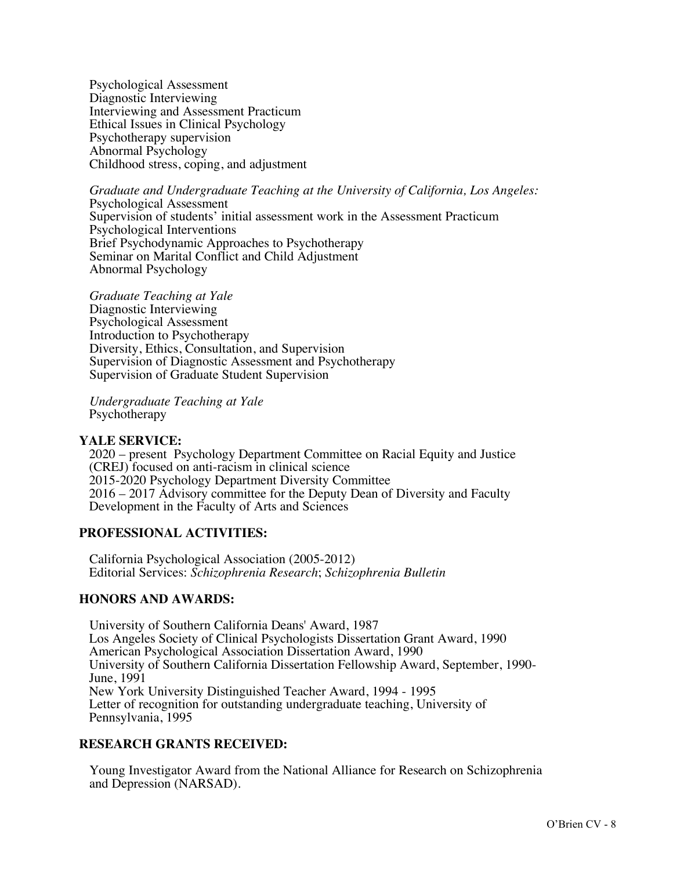Psychological Assessment Diagnostic Interviewing Interviewing and Assessment Practicum Ethical Issues in Clinical Psychology Psychotherapy supervision Abnormal Psychology Childhood stress, coping, and adjustment

*Graduate and Undergraduate Teaching at the University of California, Los Angeles:*  Psychological Assessment Supervision of students' initial assessment work in the Assessment Practicum Psychological Interventions Brief Psychodynamic Approaches to Psychotherapy Seminar on Marital Conflict and Child Adjustment Abnormal Psychology

*Graduate Teaching at Yale* Diagnostic Interviewing Psychological Assessment Introduction to Psychotherapy Diversity, Ethics, Consultation, and Supervision Supervision of Diagnostic Assessment and Psychotherapy Supervision of Graduate Student Supervision

*Undergraduate Teaching at Yale* Psychotherapy

### **YALE SERVICE:**

2020 – present Psychology Department Committee on Racial Equity and Justice (CREJ) focused on anti-racism in clinical science 2015-2020 Psychology Department Diversity Committee 2016 – 2017 Advisory committee for the Deputy Dean of Diversity and Faculty Development in the Faculty of Arts and Sciences

## **PROFESSIONAL ACTIVITIES:**

California Psychological Association (2005-2012) Editorial Services: *Schizophrenia Research*; *Schizophrenia Bulletin*

## **HONORS AND AWARDS:**

University of Southern California Deans' Award, 1987 Los Angeles Society of Clinical Psychologists Dissertation Grant Award, 1990 American Psychological Association Dissertation Award, 1990 University of Southern California Dissertation Fellowship Award, September, 1990- June, 1991 New York University Distinguished Teacher Award, 1994 - 1995 Letter of recognition for outstanding undergraduate teaching, University of Pennsylvania, 1995

## **RESEARCH GRANTS RECEIVED:**

Young Investigator Award from the National Alliance for Research on Schizophrenia and Depression (NARSAD).